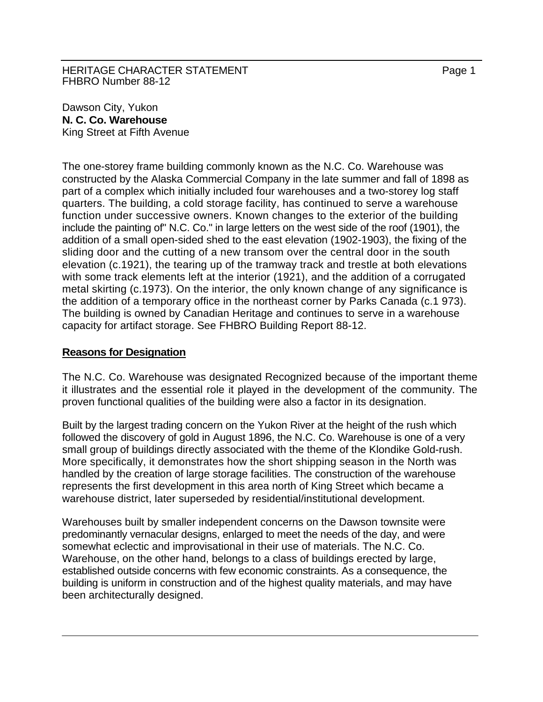HERITAGE CHARACTER STATEMENT FRAGGERAL Page 1 FHBRO Number 88-12

Dawson City, Yukon **N. C. Co. Warehouse**  King Street at Fifth Avenue

The one-storey frame building commonly known as the N.C. Co. Warehouse was constructed by the Alaska Commercial Company in the late summer and fall of 1898 as part of a complex which initially included four warehouses and a two-storey log staff quarters. The building, a cold storage facility, has continued to serve a warehouse function under successive owners. Known changes to the exterior of the building include the painting of" N.C. Co." in large letters on the west side of the roof (1901), the addition of a small open-sided shed to the east elevation (1902-1903), the fixing of the sliding door and the cutting of a new transom over the central door in the south elevation (c.1921), the tearing up of the tramway track and trestle at both elevations with some track elements left at the interior (1921), and the addition of a corrugated metal skirting (c.1973). On the interior, the only known change of any significance is the addition of a temporary office in the northeast corner by Parks Canada (c.1 973). The building is owned by Canadian Heritage and continues to serve in a warehouse capacity for artifact storage. See FHBRO Building Report 88-12.

## **Reasons for Designation**

The N.C. Co. Warehouse was designated Recognized because of the important theme it illustrates and the essential role it played in the development of the community. The proven functional qualities of the building were also a factor in its designation.

Built by the largest trading concern on the Yukon River at the height of the rush which followed the discovery of gold in August 1896, the N.C. Co. Warehouse is one of a very small group of buildings directly associated with the theme of the Klondike Gold-rush. More specifically, it demonstrates how the short shipping season in the North was handled by the creation of large storage facilities. The construction of the warehouse represents the first development in this area north of King Street which became a warehouse district, later superseded by residential/institutional development.

Warehouses built by smaller independent concerns on the Dawson townsite were predominantly vernacular designs, enlarged to meet the needs of the day, and were somewhat eclectic and improvisational in their use of materials. The N.C. Co. Warehouse, on the other hand, belongs to a class of buildings erected by large, established outside concerns with few economic constraints. As a consequence, the building is uniform in construction and of the highest quality materials, and may have been architecturally designed.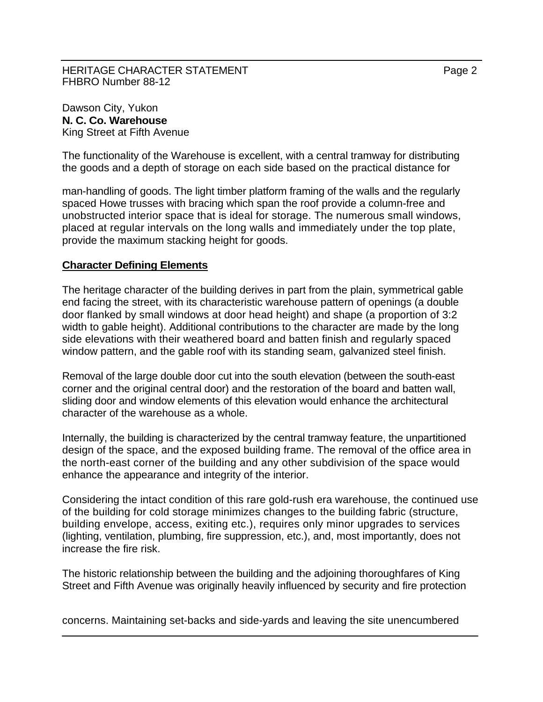The functionality of the Warehouse is excellent, with a central tramway for distributing the goods and a depth of storage on each side based on the practical distance for

man-handling of goods. The light timber platform framing of the walls and the regularly spaced Howe trusses with bracing which span the roof provide a column-free and unobstructed interior space that is ideal for storage. The numerous small windows, placed at regular intervals on the long walls and immediately under the top plate, provide the maximum stacking height for goods.

## **Character Defining Elements**

The heritage character of the building derives in part from the plain, symmetrical gable end facing the street, with its characteristic warehouse pattern of openings (a double door flanked by small windows at door head height) and shape (a proportion of 3:2 width to gable height). Additional contributions to the character are made by the long side elevations with their weathered board and batten finish and regularly spaced window pattern, and the gable roof with its standing seam, galvanized steel finish.

Removal of the large double door cut into the south elevation (between the south-east corner and the original central door) and the restoration of the board and batten wall, sliding door and window elements of this elevation would enhance the architectural character of the warehouse as a whole.

Internally, the building is characterized by the central tramway feature, the unpartitioned design of the space, and the exposed building frame. The removal of the office area in the north-east corner of the building and any other subdivision of the space would enhance the appearance and integrity of the interior.

Considering the intact condition of this rare gold-rush era warehouse, the continued use of the building for cold storage minimizes changes to the building fabric (structure, building envelope, access, exiting etc.), requires only minor upgrades to services (lighting, ventilation, plumbing, fire suppression, etc.), and, most importantly, does not increase the fire risk.

The historic relationship between the building and the adjoining thoroughfares of King Street and Fifth Avenue was originally heavily influenced by security and fire protection

concerns. Maintaining set-backs and side-yards and leaving the site unencumbered